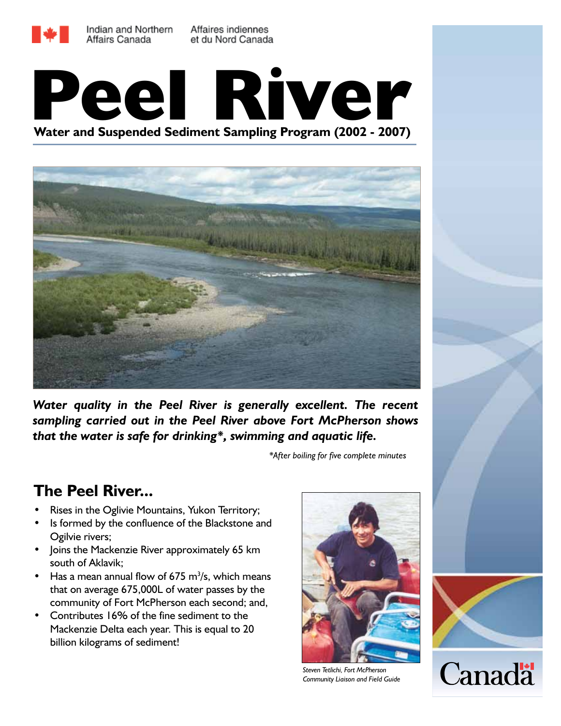





*Water quality in the Peel River is generally excellent. The recent sampling carried out in the Peel River above Fort McPherson shows that the water is safe for drinking\*, swimming and aquatic life.*

*\*After boiling for five complete minutes*

## **The Peel River...**

- Rises in the Oglivie Mountains, Yukon Territory;
- Is formed by the confluence of the Blackstone and Ogilvie rivers;
- Joins the Mackenzie River approximately 65 km south of Aklavik;
- Has a mean annual flow of 675  $m^3/s$ , which means that on average 675,000L of water passes by the community of Fort McPherson each second; and,
- Contributes 16% of the fine sediment to the Mackenzie Delta each year. This is equal to 20 billion kilograms of sediment!



*Steven Tetlichi, Fort McPherson Community Liaison and Field Guide*



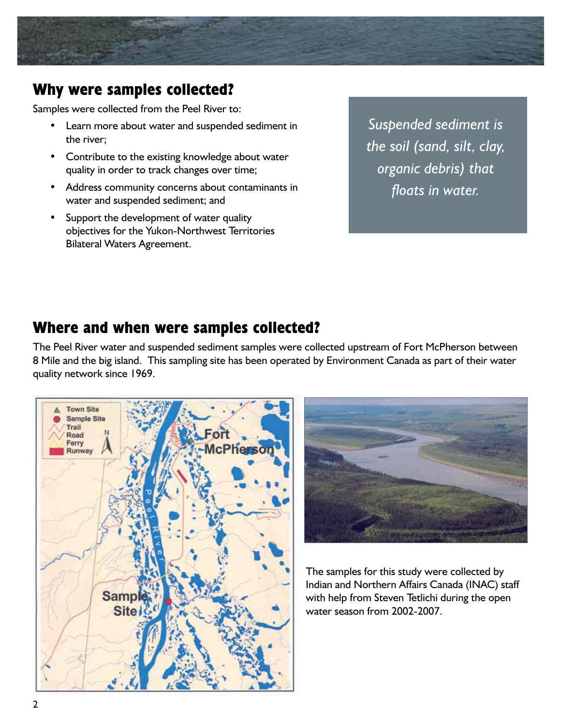

# **Why were samples collected?**

Samples were collected from the Peel River to:

- Learn more about water and suspended sediment in the river;
- • Contribute to the existing knowledge about water quality in order to track changes over time;
- • Address community concerns about contaminants in water and suspended sediment; and
- Support the development of water quality objectives for the Yukon-Northwest Territories Bilateral Waters Agreement.

*Suspended sediment is the soil (sand, silt, clay, organic debris) that floats in water.*

## **Where and when were samples collected?**

The Peel River water and suspended sediment samples were collected upstream of Fort McPherson between 8 Mile and the big island. This sampling site has been operated by Environment Canada as part of their water quality network since 1969.





The samples for this study were collected by Indian and Northern Affairs Canada (INAC) staff with help from Steven Tetlichi during the open water season from 2002-2007.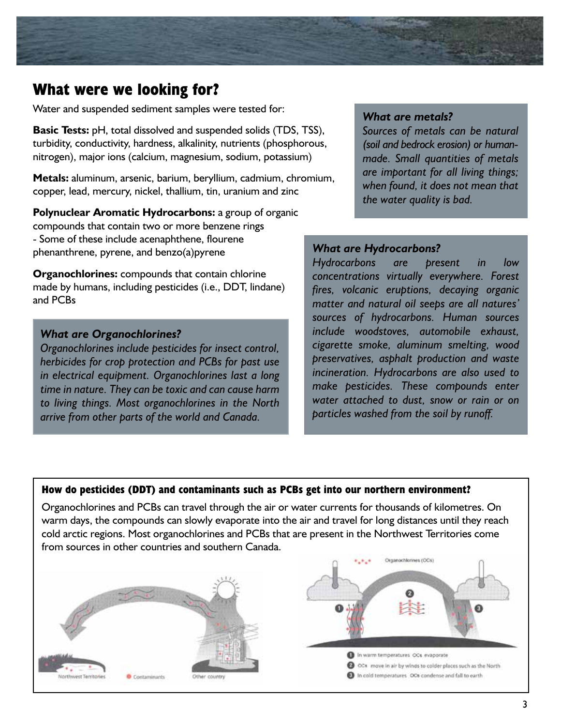### **What were we looking for?**

Water and suspended sediment samples were tested for:

**Basic Tests:** pH, total dissolved and suspended solids (TDS, TSS), turbidity, conductivity, hardness, alkalinity, nutrients (phosphorous, nitrogen), major ions (calcium, magnesium, sodium, potassium)

**Metals:** aluminum, arsenic, barium, beryllium, cadmium, chromium, copper, lead, mercury, nickel, thallium, tin, uranium and zinc

**Polynuclear Aromatic Hydrocarbons:** a group of organic compounds that contain two or more benzene rings - Some of these include acenaphthene, flourene phenanthrene, pyrene, and benzo(a)pyrene

**Organochlorines:** compounds that contain chlorine made by humans, including pesticides (i.e., DDT, lindane) and PCBs

#### *What are Organochlorines?*

*Organochlorines include pesticides for insect control, herbicides for crop protection and PCBs for past use in electrical equipment. Organochlorines last a long time in nature. They can be toxic and can cause harm to living things. Most organochlorines in the North arrive from other parts of the world and Canada.* 

#### *What are metals?*

*Sources of metals can be natural (soil and bedrock erosion) or humanmade. Small quantities of metals are important for all living things; when found, it does not mean that the water quality is bad.*

### *What are Hydrocarbons?*

*Hydrocarbons are present in low concentrations virtually everywhere. Forest fires, volcanic eruptions, decaying organic matter and natural oil seeps are all natures' sources of hydrocarbons. Human sources include woodstoves, automobile exhaust, cigarette smoke, aluminum smelting, wood preservatives, asphalt production and waste incineration. Hydrocarbons are also used to make pesticides. These compounds enter water attached to dust, snow or rain or on particles washed from the soil by runoff.*

### **How do pesticides (DDT) and contaminants such as PCBs get into our northern environment?**

Organochlorines and PCBs can travel through the air or water currents for thousands of kilometres. On warm days, the compounds can slowly evaporate into the air and travel for long distances until they reach cold arctic regions. Most organochlorines and PCBs that are present in the Northwest Territories come from sources in other countries and southern Canada.

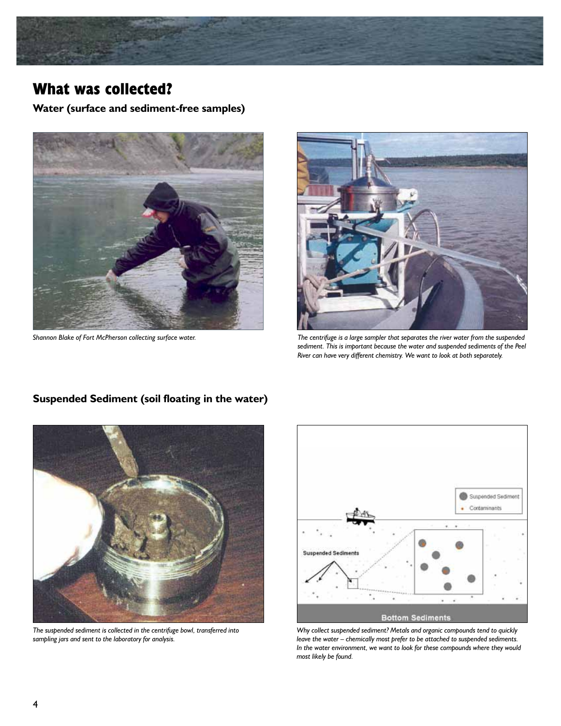

## **What was collected?**

**Water (surface and sediment-free samples)**



*Shannon Blake of Fort McPherson collecting surface water.*



*The centrifuge is a large sampler that separates the river water from the suspended sediment. This is important because the water and suspended sediments of the Peel River can have very different chemistry. We want to look at both separately.*



*The suspended sediment is collected in the centrifuge bowl, transferred into sampling jars and sent to the laboratory for analysis.*



*Why collect suspended sediment? Metals and organic compounds tend to quickly leave the water – chemically most prefer to be attached to suspended sediments. In the water environment, we want to look for these compounds where they would most likely be found.*

### **Suspended Sediment (soil floating in the water)**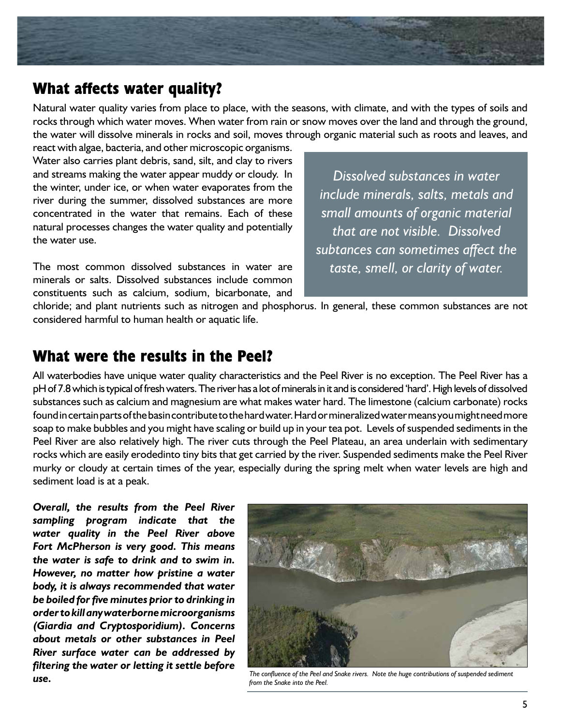

### **What affects water quality?**

Natural water quality varies from place to place, with the seasons, with climate, and with the types of soils and rocks through which water moves. When water from rain or snow moves over the land and through the ground, the water will dissolve minerals in rocks and soil, moves through organic material such as roots and leaves, and

react with algae, bacteria, and other microscopic organisms. Water also carries plant debris, sand, silt, and clay to rivers and streams making the water appear muddy or cloudy. In the winter, under ice, or when water evaporates from the river during the summer, dissolved substances are more concentrated in the water that remains. Each of these natural processes changes the water quality and potentially the water use.

The most common dissolved substances in water are minerals or salts. Dissolved substances include common constituents such as calcium, sodium, bicarbonate, and

*Dissolved substances in water include minerals, salts, metals and small amounts of organic material that are not visible. Dissolved subtances can sometimes affect the taste, smell, or clarity of water.*

chloride; and plant nutrients such as nitrogen and phosphorus. In general, these common substances are not considered harmful to human health or aquatic life.

### **What were the results in the Peel?**

All waterbodies have unique water quality characteristics and the Peel River is no exception. The Peel River has a pH of 7.8 which is typical of fresh waters. The river has a lot of minerals in it and is considered 'hard'. High levels of dissolved substances such as calcium and magnesium are what makes water hard. The limestone (calcium carbonate) rocks found in certain parts of the basin contribute to the hard water. Hard or mineralized water means you might need more soap to make bubbles and you might have scaling or build up in your tea pot. Levels of suspended sediments in the Peel River are also relatively high. The river cuts through the Peel Plateau, an area underlain with sedimentary rocks which are easily erodedinto tiny bits that get carried by the river. Suspended sediments make the Peel River murky or cloudy at certain times of the year, especially during the spring melt when water levels are high and sediment load is at a peak.

*Overall, the results from the Peel River sampling program indicate that the water quality in the Peel River above Fort McPherson is very good. This means the water is safe to drink and to swim in. However, no matter how pristine a water body, it is always recommended that water be boiled for five minutes prior to drinking in order to kill any waterborne microorganisms (Giardia and Cryptosporidium). Concerns about metals or other substances in Peel River surface water can be addressed by filtering the water or letting it settle before use.*



*The confluence of the Peel and Snake rivers. Note the huge contributions of suspended sediment from the Snake into the Peel.*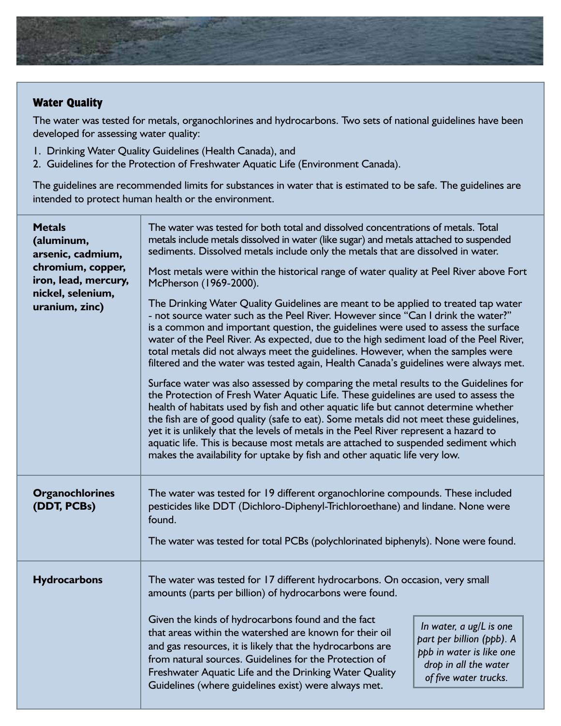

### **Water Quality**

The water was tested for metals, organochlorines and hydrocarbons. Two sets of national guidelines have been developed for assessing water quality:

- 1. Drinking Water Quality Guidelines (Health Canada), and
- 2. Guidelines for the Protection of Freshwater Aquatic Life (Environment Canada).

The guidelines are recommended limits for substances in water that is estimated to be safe. The guidelines are intended to protect human health or the environment.

| <b>Metals</b><br>(aluminum,<br>arsenic, cadmium,<br>chromium, copper,<br>iron, lead, mercury,<br>nickel, selenium,<br>uranium, zinc) | The water was tested for both total and dissolved concentrations of metals. Total<br>metals include metals dissolved in water (like sugar) and metals attached to suspended<br>sediments. Dissolved metals include only the metals that are dissolved in water.<br>Most metals were within the historical range of water quality at Peel River above Fort<br>McPherson (1969-2000).<br>The Drinking Water Quality Guidelines are meant to be applied to treated tap water<br>- not source water such as the Peel River. However since "Can I drink the water?"<br>is a common and important question, the guidelines were used to assess the surface<br>water of the Peel River. As expected, due to the high sediment load of the Peel River,<br>total metals did not always meet the guidelines. However, when the samples were<br>filtered and the water was tested again, Health Canada's guidelines were always met.<br>Surface water was also assessed by comparing the metal results to the Guidelines for<br>the Protection of Fresh Water Aquatic Life. These guidelines are used to assess the<br>health of habitats used by fish and other aquatic life but cannot determine whether<br>the fish are of good quality (safe to eat). Some metals did not meet these guidelines,<br>yet it is unlikely that the levels of metals in the Peel River represent a hazard to<br>aquatic life. This is because most metals are attached to suspended sediment which<br>makes the availability for uptake by fish and other aquatic life very low. |
|--------------------------------------------------------------------------------------------------------------------------------------|-------------------------------------------------------------------------------------------------------------------------------------------------------------------------------------------------------------------------------------------------------------------------------------------------------------------------------------------------------------------------------------------------------------------------------------------------------------------------------------------------------------------------------------------------------------------------------------------------------------------------------------------------------------------------------------------------------------------------------------------------------------------------------------------------------------------------------------------------------------------------------------------------------------------------------------------------------------------------------------------------------------------------------------------------------------------------------------------------------------------------------------------------------------------------------------------------------------------------------------------------------------------------------------------------------------------------------------------------------------------------------------------------------------------------------------------------------------------------------------------------------------------------------------------------------|
| <b>Organochlorines</b><br>(DDT, PCBs)                                                                                                | The water was tested for 19 different organochlorine compounds. These included<br>pesticides like DDT (Dichloro-Diphenyl-Trichloroethane) and lindane. None were<br>found.<br>The water was tested for total PCBs (polychlorinated biphenyls). None were found.                                                                                                                                                                                                                                                                                                                                                                                                                                                                                                                                                                                                                                                                                                                                                                                                                                                                                                                                                                                                                                                                                                                                                                                                                                                                                       |
| <b>Hydrocarbons</b>                                                                                                                  | The water was tested for 17 different hydrocarbons. On occasion, very small<br>amounts (parts per billion) of hydrocarbons were found.<br>Given the kinds of hydrocarbons found and the fact<br>In water, a ug/L is one<br>that areas within the watershed are known for their oil<br>part per billion (ppb). A<br>and gas resources, it is likely that the hydrocarbons are<br>ppb in water is like one<br>from natural sources. Guidelines for the Protection of<br>drop in all the water<br>Freshwater Aquatic Life and the Drinking Water Quality<br>of five water trucks.<br>Guidelines (where guidelines exist) were always met.                                                                                                                                                                                                                                                                                                                                                                                                                                                                                                                                                                                                                                                                                                                                                                                                                                                                                                                |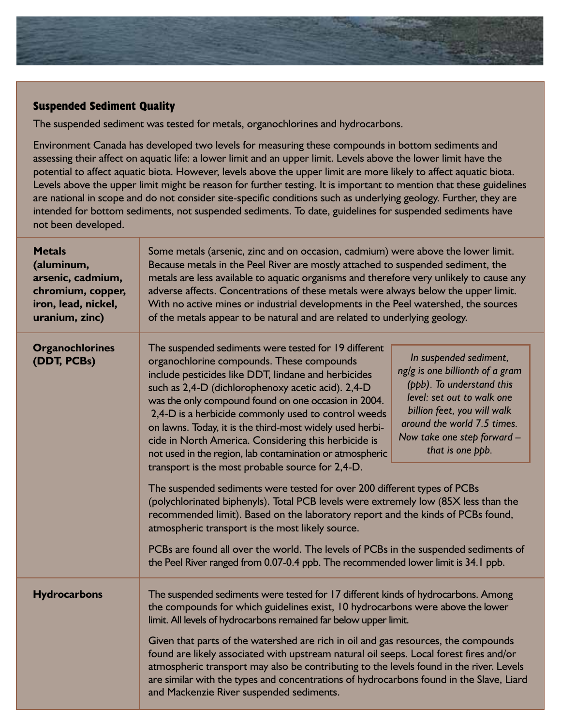

### **Suspended Sediment Quality**

The suspended sediment was tested for metals, organochlorines and hydrocarbons.

Environment Canada has developed two levels for measuring these compounds in bottom sediments and assessing their affect on aquatic life: a lower limit and an upper limit. Levels above the lower limit have the potential to affect aquatic biota. However, levels above the upper limit are more likely to affect aquatic biota. Levels above the upper limit might be reason for further testing. It is important to mention that these guidelines are national in scope and do not consider site-specific conditions such as underlying geology. Further, they are intended for bottom sediments, not suspended sediments. To date, guidelines for suspended sediments have not been developed.

| <b>Metals</b><br>(aluminum,<br>arsenic, cadmium,<br>chromium, copper,<br>iron, lead, nickel,<br>uranium, zinc) | Some metals (arsenic, zinc and on occasion, cadmium) were above the lower limit.<br>Because metals in the Peel River are mostly attached to suspended sediment, the<br>metals are less available to aquatic organisms and therefore very unlikely to cause any<br>adverse affects. Concentrations of these metals were always below the upper limit.<br>With no active mines or industrial developments in the Peel watershed, the sources<br>of the metals appear to be natural and are related to underlying geology.                                                                                                                                                                                                                                                                                                                                                                                                                                                                                                                                                                                                                                                                                                                                                                          |
|----------------------------------------------------------------------------------------------------------------|--------------------------------------------------------------------------------------------------------------------------------------------------------------------------------------------------------------------------------------------------------------------------------------------------------------------------------------------------------------------------------------------------------------------------------------------------------------------------------------------------------------------------------------------------------------------------------------------------------------------------------------------------------------------------------------------------------------------------------------------------------------------------------------------------------------------------------------------------------------------------------------------------------------------------------------------------------------------------------------------------------------------------------------------------------------------------------------------------------------------------------------------------------------------------------------------------------------------------------------------------------------------------------------------------|
| <b>Organochlorines</b><br>(DDT, PCBs)                                                                          | The suspended sediments were tested for 19 different<br>In suspended sediment,<br>organochlorine compounds. These compounds<br>ng/g is one billionth of a gram<br>include pesticides like DDT, lindane and herbicides<br>(ppb). To understand this<br>such as 2,4-D (dichlorophenoxy acetic acid). 2,4-D<br>level: set out to walk one<br>was the only compound found on one occasion in 2004.<br>billion feet, you will walk<br>2,4-D is a herbicide commonly used to control weeds<br>around the world 7.5 times.<br>on lawns. Today, it is the third-most widely used herbi-<br>Now take one step forward -<br>cide in North America. Considering this herbicide is<br>that is one ppb.<br>not used in the region, lab contamination or atmospheric<br>transport is the most probable source for 2,4-D.<br>The suspended sediments were tested for over 200 different types of PCBs<br>(polychlorinated biphenyls). Total PCB levels were extremely low (85X less than the<br>recommended limit). Based on the laboratory report and the kinds of PCBs found,<br>atmospheric transport is the most likely source.<br>PCBs are found all over the world. The levels of PCBs in the suspended sediments of<br>the Peel River ranged from 0.07-0.4 ppb. The recommended lower limit is 34.1 ppb. |
| <b>Hydrocarbons</b>                                                                                            | The suspended sediments were tested for 17 different kinds of hydrocarbons. Among<br>the compounds for which guidelines exist, 10 hydrocarbons were above the lower<br>limit. All levels of hydrocarbons remained far below upper limit.<br>Given that parts of the watershed are rich in oil and gas resources, the compounds<br>found are likely associated with upstream natural oil seeps. Local forest fires and/or<br>atmospheric transport may also be contributing to the levels found in the river. Levels<br>are similar with the types and concentrations of hydrocarbons found in the Slave, Liard<br>and Mackenzie River suspended sediments.                                                                                                                                                                                                                                                                                                                                                                                                                                                                                                                                                                                                                                       |